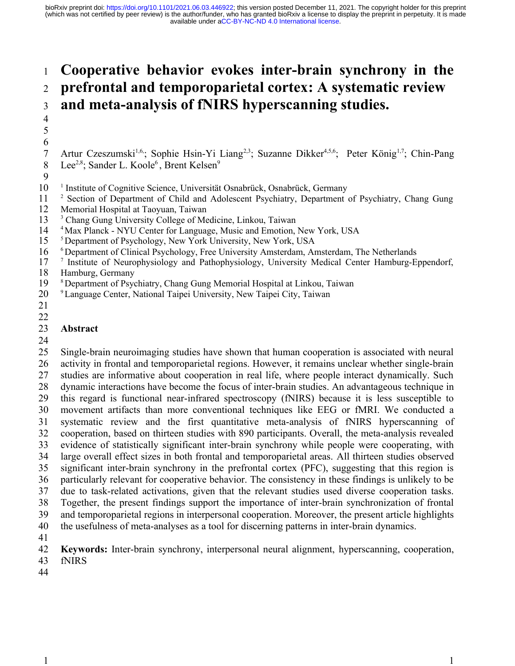### **Cooperative behavior evokes inter-brain synchrony in the prefrontal and temporoparietal cortex: A systematic review and meta-analysis of fNIRS hyperscanning studies.** 1 2 3

- Artur Czeszumski<sup>1,6,</sup>; Sophie Hsin-Yi Liang<sup>2,3</sup>; Suzanne Dikker<sup>4,5,6</sup>; Peter König<sup>1,7</sup>; Chin-Pang Lee<sup>2,8</sup>; Sander L. Koole<sup>6</sup>, Brent Kelsen<sup>9</sup> 6 7 8
- <sup>1</sup> Institute of Cognitive Science, Universität Osnabrück, Osnabrück, Germany 10
- <sup>2</sup> Section of Department of Child and Adolescent Psychiatry, Department of Psychiatry, Chang Gung 11
- Memorial Hospital at Taoyuan, Taiwan 12
- <sup>3</sup> Chang Gung University College of Medicine, Linkou, Taiwan 13
- <sup>4</sup> Max Planck NYU Center for Language, Music and Emotion, New York, USA 14
- <sup>5</sup>Department of Psychology, New York University, New York, USA 15
- $6$  Department of Clinical Psychology, Free University Amsterdam, Amsterdam, The Netherlands 16
- <sup>7</sup> Institute of Neurophysiology and Pathophysiology, University Medical Center Hamburg-Eppendorf, 17
- Hamburg, Germany 18
- <sup>8</sup> Department of Psychiatry, Chang Gung Memorial Hospital at Linkou, Taiwan 19
- <sup>9</sup>Language Center, National Taipei University, New Taipei City, Taiwan 20
- 21

## 22

4 5

9

### **Abstract**  23

24

Single-brain neuroimaging studies have shown that human cooperation is associated with neural activity in frontal and temporoparietal regions. However, it remains unclear whether single-brain studies are informative about cooperation in real life, where people interact dynamically. Such dynamic interactions have become the focus of inter-brain studies. An advantageous technique in this regard is functional near-infrared spectroscopy (fNIRS) because it is less susceptible to movement artifacts than more conventional techniques like EEG or fMRI. We conducted a systematic review and the first quantitative meta-analysis of fNIRS hyperscanning of cooperation, based on thirteen studies with 890 participants. Overall, the meta-analysis revealed evidence of statistically significant inter-brain synchrony while people were cooperating, with large overall effect sizes in both frontal and temporoparietal areas. All thirteen studies observed significant inter-brain synchrony in the prefrontal cortex (PFC), suggesting that this region is particularly relevant for cooperative behavior. The consistency in these findings is unlikely to be due to task-related activations, given that the relevant studies used diverse cooperation tasks. Together, the present findings support the importance of inter-brain synchronization of frontal and temporoparietal regions in interpersonal cooperation. Moreover, the present article highlights the usefulness of meta-analyses as a tool for discerning patterns in inter-brain dynamics. 25 26 27 28 29 30 31 32 33 34 35 36 37 38 39 40

41

**Keywords:** Inter-brain synchrony, interpersonal neural alignment, hyperscanning, cooperation, fNIRS 42 43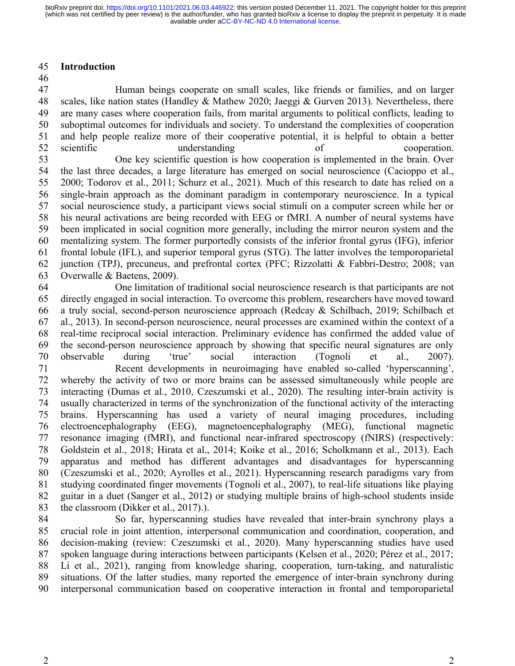### **Introduction** 45

46

Human beings cooperate on small scales, like friends or families, and on larger scales, like nation states (Handley & Mathew 2020; Jaeggi & Gurven 2013). Nevertheless, there are many cases where cooperation fails, from marital arguments to political conflicts, leading to suboptimal outcomes for individuals and society. To understand the complexities of cooperation and help people realize more of their cooperative potential, it is helpful to obtain a better scientific understanding of cooperation. One key scientific question is how cooperation is implemented in the brain. Over the last three decades, a large literature has emerged on social neuroscience (Cacioppo et al., 2000; Todorov et al., 2011; Schurz et al., 2021). Much of this research to date has relied on a single-brain approach as the dominant paradigm in contemporary neuroscience. In a typical social neuroscience study, a participant views social stimuli on a computer screen while her or his neural activations are being recorded with EEG or fMRI. A number of neural systems have been implicated in social cognition more generally, including the mirror neuron system and the mentalizing system. The former purportedly consists of the inferior frontal gyrus (IFG), inferior frontal lobule (IFL), and superior temporal gyrus (STG). The latter involves the temporoparietal junction (TPJ), precuneus, and prefrontal cortex (PFC; Rizzolatti & Fabbri-Destro; 2008; van Overwalle & Baetens, 2009). 47 48 49 50 51 52 53 54 55 56 57 58 59 60 61 62 63

One limitation of traditional social neuroscience research is that participants are not directly engaged in social interaction. To overcome this problem, researchers have moved toward a truly social, second-person neuroscience approach (Redcay & Schilbach, 2019; Schilbach et al., 2013). In second-person neuroscience, neural processes are examined within the context of a real-time reciprocal social interaction. Preliminary evidence has confirmed the added value of the second-person neuroscience approach by showing that specific neural signatures are only observable during 'true' social interaction (Tognoli et al., 2007). Recent developments in neuroimaging have enabled so-called 'hyperscanning', whereby the activity of two or more brains can be assessed simultaneously while people are interacting (Dumas et al., 2010, Czeszumski et al., 2020). The resulting inter-brain activity is usually characterized in terms of the synchronization of the functional activity of the interacting brains. Hyperscanning has used a variety of neural imaging procedures, including electroencephalography (EEG), magnetoencephalography (MEG), functional magnetic resonance imaging (fMRI), and functional near-infrared spectroscopy (fNIRS) (respectively: Goldstein et al., 2018; Hirata et al., 2014; Koike et al., 2016; Scholkmann et al., 2013). Each apparatus and method has different advantages and disadvantages for hyperscanning (Czeszumski et al., 2020; Ayrolles et al., 2021). Hyperscanning research paradigms vary from studying coordinated finger movements (Tognoli et al., 2007), to real-life situations like playing guitar in a duet (Sanger et al., 2012) or studying multiple brains of high-school students inside the classroom (Dikker et al., 2017).). 64 65 66 67 68 69 70 71 72 73 74 75 76 77 78 79 80 81 82 83

So far, hyperscanning studies have revealed that inter-brain synchrony plays a crucial role in joint attention, interpersonal communication and coordination, cooperation, and decision-making (review: Czeszumski et al., 2020). Many hyperscanning studies have used spoken language during interactions between participants (Kelsen et al., 2020; Pérez et al., 2017; Li et al., 2021), ranging from knowledge sharing, cooperation, turn-taking, and naturalistic situations. Of the latter studies, many reported the emergence of inter-brain synchrony during interpersonal communication based on cooperative interaction in frontal and temporoparietal 84 85 86 87 88 89 90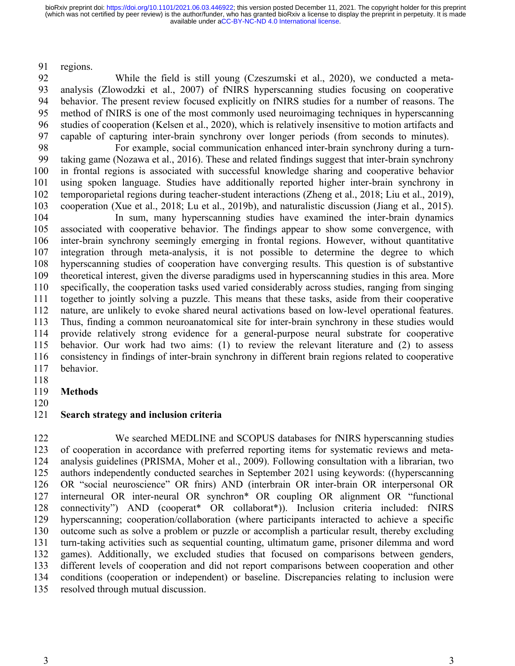regions. 91

While the field is still young (Czeszumski et al., 2020), we conducted a metaanalysis (Zlowodzki et al., 2007) of fNIRS hyperscanning studies focusing on cooperative behavior. The present review focused explicitly on fNIRS studies for a number of reasons. The method of fNIRS is one of the most commonly used neuroimaging techniques in hyperscanning studies of cooperation (Kelsen et al., 2020), which is relatively insensitive to motion artifacts and capable of capturing inter-brain synchrony over longer periods (from seconds to minutes). 92 93 94 95 96 97

For example, social communication enhanced inter-brain synchrony during a turntaking game (Nozawa et al., 2016). These and related findings suggest that inter-brain synchrony in frontal regions is associated with successful knowledge sharing and cooperative behavior using spoken language. Studies have additionally reported higher inter-brain synchrony in temporoparietal regions during teacher-student interactions (Zheng et al., 2018; Liu et al., 2019), cooperation (Xue et al., 2018; Lu et al., 2019b), and naturalistic discussion (Jiang et al., 2015). 98 99 100 101 102 103

In sum, many hyperscanning studies have examined the inter-brain dynamics associated with cooperative behavior. The findings appear to show some convergence, with inter-brain synchrony seemingly emerging in frontal regions. However, without quantitative integration through meta-analysis, it is not possible to determine the degree to which hyperscanning studies of cooperation have converging results. This question is of substantive theoretical interest, given the diverse paradigms used in hyperscanning studies in this area. More specifically, the cooperation tasks used varied considerably across studies, ranging from singing together to jointly solving a puzzle. This means that these tasks, aside from their cooperative nature, are unlikely to evoke shared neural activations based on low-level operational features. Thus, finding a common neuroanatomical site for inter-brain synchrony in these studies would provide relatively strong evidence for a general-purpose neural substrate for cooperative behavior. Our work had two aims: (1) to review the relevant literature and (2) to assess consistency in findings of inter-brain synchrony in different brain regions related to cooperative behavior. 104 105 106 107 108 109 110 111 112 113 114 115 116 117

118

**Methods** 119

120

### **Search strategy and inclusion criteria** 121

We searched MEDLINE and SCOPUS databases for fNIRS hyperscanning studies of cooperation in accordance with preferred reporting items for systematic reviews and metaanalysis guidelines (PRISMA, Moher et al., 2009). Following consultation with a librarian, two authors independently conducted searches in September 2021 using keywords: ((hyperscanning OR "social neuroscience" OR fnirs) AND (interbrain OR inter-brain OR interpersonal OR interneural OR inter-neural OR synchron\* OR coupling OR alignment OR "functional connectivity") AND (cooperat\* OR collaborat\*)). Inclusion criteria included: fNIRS hyperscanning; cooperation/collaboration (where participants interacted to achieve a specific outcome such as solve a problem or puzzle or accomplish a particular result, thereby excluding turn-taking activities such as sequential counting, ultimatum game, prisoner dilemma and word games). Additionally, we excluded studies that focused on comparisons between genders, different levels of cooperation and did not report comparisons between cooperation and other conditions (cooperation or independent) or baseline. Discrepancies relating to inclusion were resolved through mutual discussion. 122 123 124 125 126 127 128 129 130 131 132 133 134 135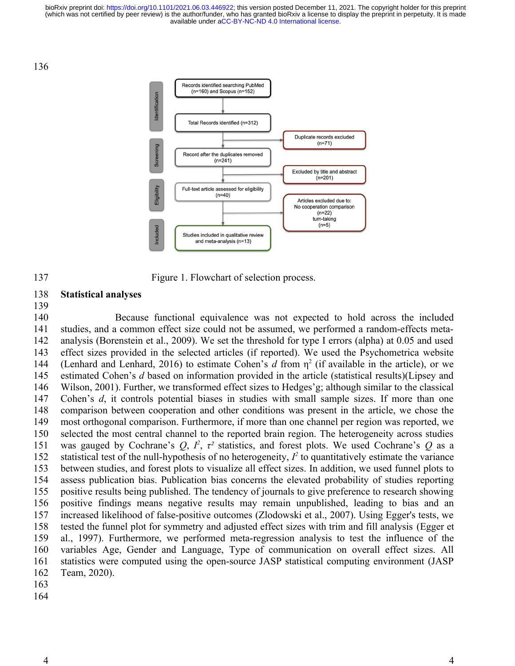136



Figure 1. Flowchart of selection process.

### **Statistical analyses** 138

139

137

Because functional equivalence was not expected to hold across the included studies, and a common effect size could not be assumed, we performed a random-effects metaanalysis (Borenstein et al., 2009). We set the threshold for type I errors (alpha) at 0.05 and used effect sizes provided in the selected articles (if reported). We used the Psychometrica website (Lenhard and Lenhard, 2016) to estimate Cohen's  $d$  from  $\eta^2$  (if available in the article), or we estimated Cohen's *d* based on information provided in the article (statistical results)(Lipsey and Wilson, 2001). Further, we transformed effect sizes to Hedges'g; although similar to the classical Cohen's *d*, it controls potential biases in studies with small sample sizes. If more than one comparison between cooperation and other conditions was present in the article, we chose the most orthogonal comparison. Furthermore, if more than one channel per region was reported, we selected the most central channel to the reported brain region. The heterogeneity across studies was gauged by Cochrane's  $Q, I^2, \tau^2$  statistics, and forest plots. We used Cochrane's  $Q$  as a statistical test of the null-hypothesis of no heterogeneity,  $I^2$  to quantitatively estimate the variance between studies, and forest plots to visualize all effect sizes. In addition, we used funnel plots to assess publication bias. Publication bias concerns the elevated probability of studies reporting positive results being published. The tendency of journals to give preference to research showing positive findings means negative results may remain unpublished, leading to bias and an increased likelihood of false-positive outcomes (Zlodowski et al., 2007). Using Egger's tests, we tested the funnel plot for symmetry and adjusted effect sizes with trim and fill analysis (Egger et al., 1997). Furthermore, we performed meta-regression analysis to test the influence of the variables Age, Gender and Language, Type of communication on overall effect sizes. All statistics were computed using the open-source JASP statistical computing environment (JASP Team, 2020). 140 141 142 143 144 145 146 147 148 149 150 151 152 153 154 155 156 157 158 159 160 161 162 163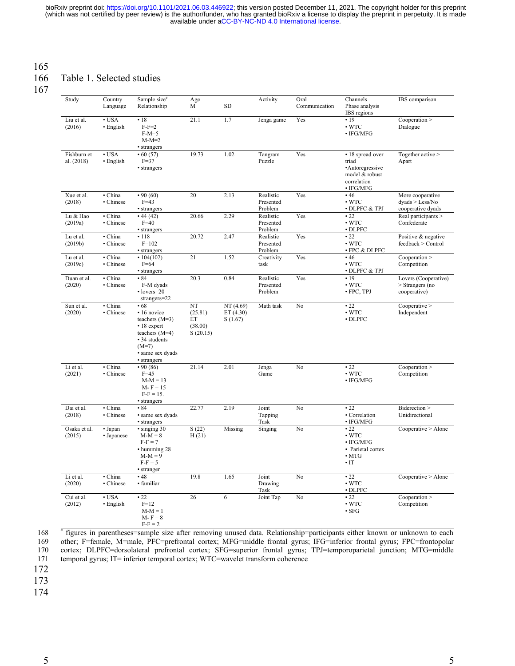# 165

### Table 1. Selected studies 166

167

| Study                     | Country<br>Language                   | Sample size#<br>Relationship                                                                                                              | Age<br>M                                   | <b>SD</b>                        | Activity                          | Oral<br>Communication | Channels<br>Phase analysis<br>IBS regions                                                          | IBS comparison                                           |
|---------------------------|---------------------------------------|-------------------------------------------------------------------------------------------------------------------------------------------|--------------------------------------------|----------------------------------|-----------------------------------|-----------------------|----------------------------------------------------------------------------------------------------|----------------------------------------------------------|
| Liu et al.<br>(2016)      | $\cdot$ USA<br>· English              | •18<br>$F-F=2$<br>$F-M=5$<br>$M-M=2$<br>• strangers                                                                                       | 21.1                                       | 1.7                              | Jenga game                        | Yes                   | • 19<br>$\cdot$ WTC<br>$\bullet$ IFG/MFG                                                           | Cooperation ><br>Dialogue                                |
| Fishburn et<br>al. (2018) | $\cdot$ USA<br>$\cdot$ English        | $\cdot$ 60 (57)<br>$F=37$<br>• strangers                                                                                                  | 19.73                                      | 1.02                             | Tangram<br>Puzzle                 | Yes                   | • 18 spread over<br>triad<br>•Autoregressive<br>model & robust<br>correlation<br>$\bullet$ IFG/MFG | Together active ><br>Apart                               |
| Xue et al.<br>(2018)      | · China<br>• Chinese                  | $\cdot\,90(60)$<br>$F=43$<br>• strangers                                                                                                  | 20                                         | 2.13                             | Realistic<br>Presented<br>Problem | Yes                   | •46<br>$\cdot$ WTC<br>· DLPFC & TPJ                                                                | More cooperative<br>dyads > Less/No<br>cooperative dyads |
| Lu & Hao<br>(2019a)       | · China<br>• Chinese                  | • 44(42)<br>$F=40$<br>• strangers                                                                                                         | 20.66                                      | 2.29                             | Realistic<br>Presented<br>Problem | Yes                   | •22<br>$\cdot$ WTC<br>$\cdot$ DLPFC                                                                | Real participants ><br>Confederate                       |
| Lu et al.<br>(2019b)      | · China<br>• Chinese                  | • 118<br>$F = 102$<br>• strangers                                                                                                         | 20.72                                      | 2.47                             | Realistic<br>Presented<br>Problem | Yes                   | $\cdot$ 22<br>$\cdot$ WTC<br>• FPC & DLPFC                                                         | Positive & negative<br>feedback > Control                |
| Lu et al.<br>(2019c)      | · China<br>· Chinese                  | $\cdot$ 104(102)<br>$F=64$<br>• strangers                                                                                                 | 21                                         | 1.52                             | Creativity<br>task                | Yes                   | •46<br>$\cdot$ WTC<br>· DLPFC & TPJ                                                                | Cooperation ><br>Competition                             |
| Duan et al.<br>(2020)     | · China<br>• Chinese                  | • 84<br>F-M dyads<br>$\cdot$ lovers=20<br>strangers=22                                                                                    | 20.3                                       | 0.84                             | Realistic<br>Presented<br>Problem | Yes                   | •19<br>$\cdot$ WTC<br>· FPC, TPJ                                                                   | Lovers (Cooperative)<br>> Strangers (no<br>cooperative)  |
| Sun et al.<br>(2020)      | $\overline{\cdot}$ China<br>• Chinese | • 68<br>• 16 novice<br>teachers $(M=3)$<br>• 18 expert<br>teachers $(M=4)$<br>• 34 students<br>$(M=7)$<br>· same sex dyads<br>· strangers | NT<br>(25.81)<br>ET<br>(38.00)<br>S(20.15) | NT (4.69)<br>ET(4.30)<br>S(1.67) | Math task                         | No                    | •22<br>$\cdot$ WTC<br>$\cdot$ DLPFC                                                                | Cooperative<br>Independent                               |
| Li et al.<br>(2021)       | · China<br>• Chinese                  | $\cdot$ 90 (86)<br>$F=45$<br>$M-M = 13$<br>$M - F = 15$<br>$F-F = 15.$<br>• strangers                                                     | 21.14                                      | 2.01                             | Jenga<br>Game                     | No                    | •22<br>$\cdot$ WTC<br>$\bullet$ IFG/MFG                                                            | Cooperation ><br>Competition                             |
| Dai et al.<br>(2018)      | · China<br>• Chinese                  | • 84<br>· same sex dyads<br>• strangers                                                                                                   | 22.77                                      | 2.19                             | Joint<br>Tapping<br>Task          | No                    | $\cdot$ 22<br>• Correlation<br>$\bullet$ IFG/MFG                                                   | Biderection ><br>Unidirectional                          |
| Osaka et al.<br>(2015)    | · Japan<br>• Japanese                 | $\cdot$ singing 30<br>$M-M = 8$<br>$F-F=7$<br>· humming 28<br>$M-M = 9$<br>$F-F=5$<br>• stranger                                          | S(22)<br>H(21)                             | Missing                          | Singing                           | No                    | $\cdot$ 22<br>$\cdot$ WTC<br>$\bullet$ IFG/MFG<br>• Parietal cortex<br>$\cdot$ MTG<br>$\cdot$ IT   | Cooperative > Alore                                      |
| Li et al.<br>(2020)       | · China<br>• Chinese                  | •48<br>· familiar                                                                                                                         | 19.8                                       | 1.65                             | Joint<br>Drawing<br>Task          | No                    | $\cdot$ 22<br>$\cdot$ WTC<br>$\cdot$ DLPFC                                                         | Cooperative > Alone                                      |
| Cui et al.<br>(2012)      | $\cdot$ USA<br>• English              | .22<br>$F=12$<br>$M-M = 1$<br>$M - F = 8$<br>$F-F = 2$                                                                                    | 26                                         | 6                                | Joint Tap                         | No                    | $\cdot$ 22<br>$\cdot$ WTC<br>$\bullet$ SFG                                                         | Cooperation<br>Competition                               |

# figures in parentheses=sample size after removing unused data. Relationship=participants either known or unknown to each other; F=female, M=male, PFC=prefrontal cortex; MFG=middle frontal gyrus; IFG=inferior frontal gyrus; FPC=frontopolar cortex; DLPFC=dorsolateral prefrontal cortex; SFG=superior frontal gyrus; TPJ=temporoparietal junction; MTG=middle temporal gyrus; IT= inferior temporal cortex; WTC=wavelet transform coherence 168 169 170 171

172

173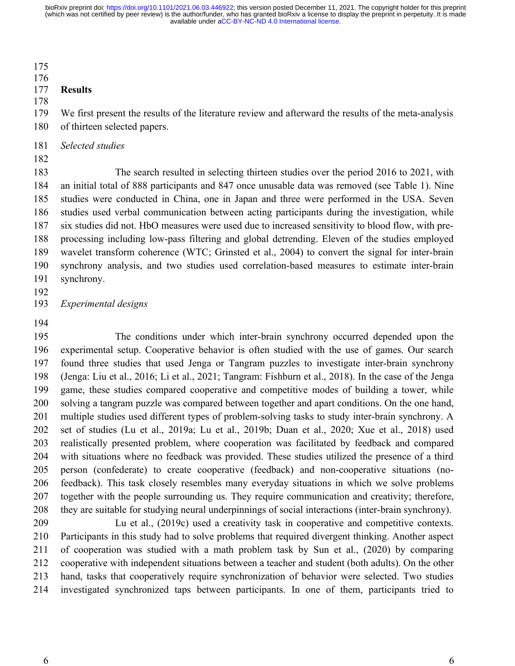175

### 176

### **Results** 177

178

We first present the results of the literature review and afterward the results of the meta-analysis of thirteen selected papers. 179 180

*Selected studies* 181

182

The search resulted in selecting thirteen studies over the period 2016 to 2021, with an initial total of 888 participants and 847 once unusable data was removed (see Table 1). Nine studies were conducted in China, one in Japan and three were performed in the USA. Seven studies used verbal communication between acting participants during the investigation, while six studies did not. HbO measures were used due to increased sensitivity to blood flow, with preprocessing including low-pass filtering and global detrending. Eleven of the studies employed wavelet transform coherence (WTC; Grinsted et al., 2004) to convert the signal for inter-brain synchrony analysis, and two studies used correlation-based measures to estimate inter-brain synchrony. 183 184 185 186 187 188 189 190 191

- 192
- *Experimental designs* 193
- 194

The conditions under which inter-brain synchrony occurred depended upon the experimental setup. Cooperative behavior is often studied with the use of games. Our search found three studies that used Jenga or Tangram puzzles to investigate inter-brain synchrony (Jenga: Liu et al., 2016; Li et al., 2021; Tangram: Fishburn et al., 2018). In the case of the Jenga game, these studies compared cooperative and competitive modes of building a tower, while solving a tangram puzzle was compared between together and apart conditions. On the one hand, multiple studies used different types of problem-solving tasks to study inter-brain synchrony. A set of studies (Lu et al., 2019a; Lu et al., 2019b; Duan et al., 2020; Xue et al., 2018) used realistically presented problem, where cooperation was facilitated by feedback and compared with situations where no feedback was provided. These studies utilized the presence of a third person (confederate) to create cooperative (feedback) and non-cooperative situations (nofeedback). This task closely resembles many everyday situations in which we solve problems together with the people surrounding us. They require communication and creativity; therefore, they are suitable for studying neural underpinnings of social interactions (inter-brain synchrony). 195 196 197 198 199 200 201 202 203 204 205 206 207 208

Lu et al., (2019c) used a creativity task in cooperative and competitive contexts. Participants in this study had to solve problems that required divergent thinking. Another aspect of cooperation was studied with a math problem task by Sun et al., (2020) by comparing cooperative with independent situations between a teacher and student (both adults). On the other hand, tasks that cooperatively require synchronization of behavior were selected. Two studies investigated synchronized taps between participants. In one of them, participants tried to 209 210 211 212 213 214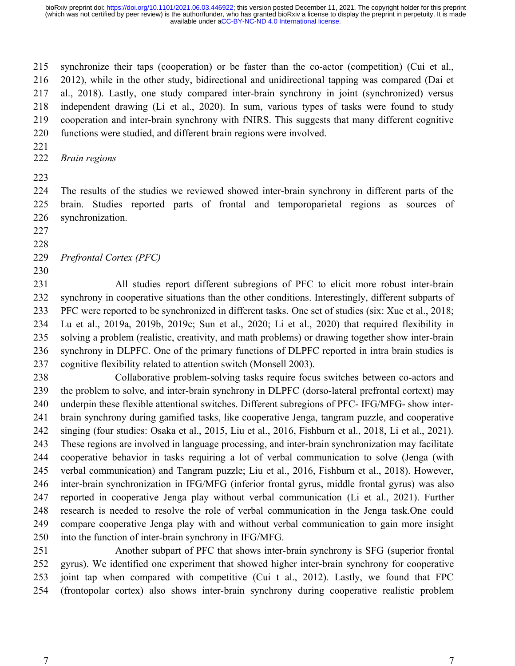synchronize their taps (cooperation) or be faster than the co-actor (competition) (Cui et al., 2012), while in the other study, bidirectional and unidirectional tapping was compared (Dai et al., 2018). Lastly, one study compared inter-brain synchrony in joint (synchronized) versus independent drawing (Li et al., 2020). In sum, various types of tasks were found to study cooperation and inter-brain synchrony with fNIRS. This suggests that many different cognitive functions were studied, and different brain regions were involved. 215 216 217 218 219 220

221

*Brain regions* 222

223

The results of the studies we reviewed showed inter-brain synchrony in different parts of the brain. Studies reported parts of frontal and temporoparietal regions as sources of synchronization. 224 225 226

227 228

*Prefrontal Cortex (PFC)* 229

230

All studies report different subregions of PFC to elicit more robust inter-brain synchrony in cooperative situations than the other conditions. Interestingly, different subparts of PFC were reported to be synchronized in different tasks. One set of studies (six: Xue et al., 2018; Lu et al., 2019a, 2019b, 2019c; Sun et al., 2020; Li et al., 2020) that required flexibility in solving a problem (realistic, creativity, and math problems) or drawing together show inter-brain synchrony in DLPFC. One of the primary functions of DLPFC reported in intra brain studies is cognitive flexibility related to attention switch (Monsell 2003). 231 232 233 234 235 236 237

Collaborative problem-solving tasks require focus switches between co-actors and the problem to solve, and inter-brain synchrony in DLPFC (dorso-lateral prefrontal cortext) may underpin these flexible attentional switches. Different subregions of PFC- IFG/MFG- show interbrain synchrony during gamified tasks, like cooperative Jenga, tangram puzzle, and cooperative singing (four studies: Osaka et al., 2015, Liu et al., 2016, Fishburn et al., 2018, Li et al., 2021). These regions are involved in language processing, and inter-brain synchronization may facilitate cooperative behavior in tasks requiring a lot of verbal communication to solve (Jenga (with verbal communication) and Tangram puzzle; Liu et al., 2016, Fishburn et al., 2018). However, inter-brain synchronization in IFG/MFG (inferior frontal gyrus, middle frontal gyrus) was also reported in cooperative Jenga play without verbal communication (Li et al., 2021). Further research is needed to resolve the role of verbal communication in the Jenga task.One could compare cooperative Jenga play with and without verbal communication to gain more insight into the function of inter-brain synchrony in IFG/MFG. 238 239 240 241 242 243 244 245 246 247 248 249 250

Another subpart of PFC that shows inter-brain synchrony is SFG (superior frontal gyrus). We identified one experiment that showed higher inter-brain synchrony for cooperative joint tap when compared with competitive (Cui t al., 2012). Lastly, we found that FPC (frontopolar cortex) also shows inter-brain synchrony during cooperative realistic problem 251 252 253 254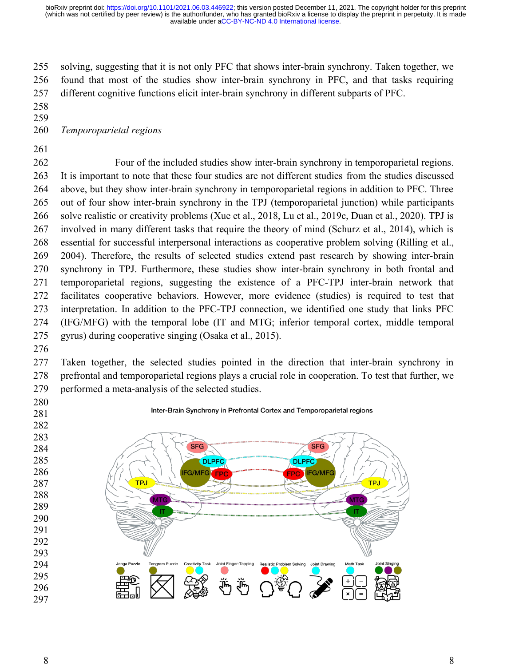solving, suggesting that it is not only PFC that shows inter-brain synchrony. Taken together, we found that most of the studies show inter-brain synchrony in PFC, and that tasks requiring different cognitive functions elicit inter-brain synchrony in different subparts of PFC. 

- 
- 

### *Temporoparietal regions*

Four of the included studies show inter-brain synchrony in temporoparietal regions. It is important to note that these four studies are not different studies from the studies discussed above, but they show inter-brain synchrony in temporoparietal regions in addition to PFC. Three out of four show inter-brain synchrony in the TPJ (temporoparietal junction) while participants solve realistic or creativity problems (Xue et al., 2018, Lu et al., 2019c, Duan et al., 2020). TPJ is involved in many different tasks that require the theory of mind (Schurz et al., 2014), which is essential for successful interpersonal interactions as cooperative problem solving (Rilling et al., 2004). Therefore, the results of selected studies extend past research by showing inter-brain synchrony in TPJ. Furthermore, these studies show inter-brain synchrony in both frontal and temporoparietal regions, suggesting the existence of a PFC-TPJ inter-brain network that facilitates cooperative behaviors. However, more evidence (studies) is required to test that interpretation. In addition to the PFC-TPJ connection, we identified one study that links PFC (IFG/MFG) with the temporal lobe (IT and MTG; inferior temporal cortex, middle temporal gyrus) during cooperative singing (Osaka et al., 2015). 

Taken together, the selected studies pointed in the direction that inter-brain synchrony in prefrontal and temporoparietal regions plays a crucial role in cooperation. To test that further, we performed a meta-analysis of the selected studies. 

 

Inter-Brain Synchrony in Prefrontal Cortex and Temporoparietal regions

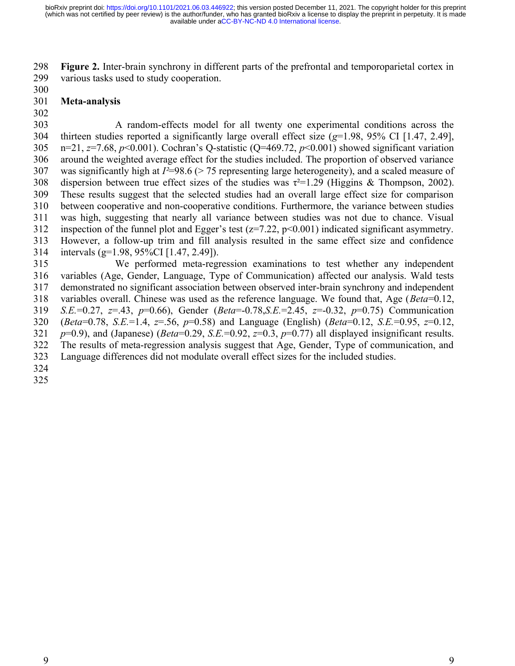**Figure 2.** Inter-brain synchrony in different parts of the prefrontal and temporoparietal cortex in various tasks used to study cooperation. 298 299

300

#### **Meta-analysis** 301

302

A random-effects model for all twenty one experimental conditions across the thirteen studies reported a significantly large overall effect size (*g*=1.98, 95% CI [1.47, 2.49], n=21, *z*=7.68, *p*<0.001). Cochran's Q-statistic (Q=469.72, *p*<0.001) showed significant variation around the weighted average effect for the studies included. The proportion of observed variance was significantly high at *I*<sup>2</sup>=98.6 (> 75 representing large heterogeneity), and a scaled measure of dispersion between true effect sizes of the studies was  $\tau^2=1.29$  (Higgins & Thompson, 2002). These results suggest that the selected studies had an overall large effect size for comparison between cooperative and non-cooperative conditions. Furthermore, the variance between studies was high, suggesting that nearly all variance between studies was not due to chance. Visual inspection of the funnel plot and Egger's test ( $z=7.22$ ,  $p<0.001$ ) indicated significant asymmetry. However, a follow-up trim and fill analysis resulted in the same effect size and confidence intervals (g=1.98, 95%CI [1.47, 2.49]). 303 304 305 306 307 308 309 310 311 312 313 314

We performed meta-regression examinations to test whether any independent variables (Age, Gender, Language, Type of Communication) affected our analysis. Wald tests demonstrated no significant association between observed inter-brain synchrony and independent variables overall. Chinese was used as the reference language. We found that, Age (*Beta*=0.12, *S.E.*=0.27, *z*=.43, *p*=0.66), Gender (*Beta*=-0.78,*S.E.*=2.45, *z*=-0.32, *p*=0.75) Communication (*Beta*=0.78, *S.E.*=1.4, *z*=.56, *p*=0.58) and Language (English) (*Beta*=0.12, *S.E.*=0.95, *z*=0.12, *p*=0.9), and (Japanese) (*Beta*=0.29, *S.E.*=0.92, *z*=0.3, *p*=0.77) all displayed insignificant results. The results of meta-regression analysis suggest that Age, Gender, Type of communication, and Language differences did not modulate overall effect sizes for the included studies. 315 316 317 318 319 320 321 322 323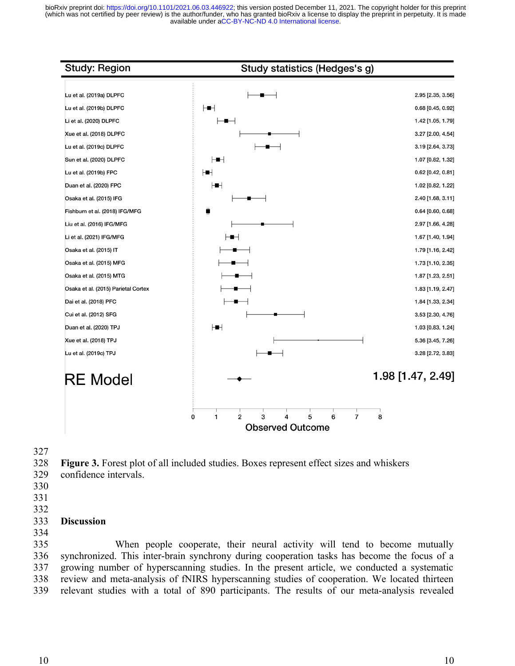

327

**Figure 3.** Forest plot of all included studies. Boxes represent effect sizes and whiskers 328

- confidence intervals. 329
- 330
- 331
- 332

### **Discussion** 333

334

When people cooperate, their neural activity will tend to become mutually synchronized. This inter-brain synchrony during cooperation tasks has become the focus of a growing number of hyperscanning studies. In the present article, we conducted a systematic review and meta-analysis of fNIRS hyperscanning studies of cooperation. We located thirteen relevant studies with a total of 890 participants. The results of our meta-analysis revealed 335 336 337 338 339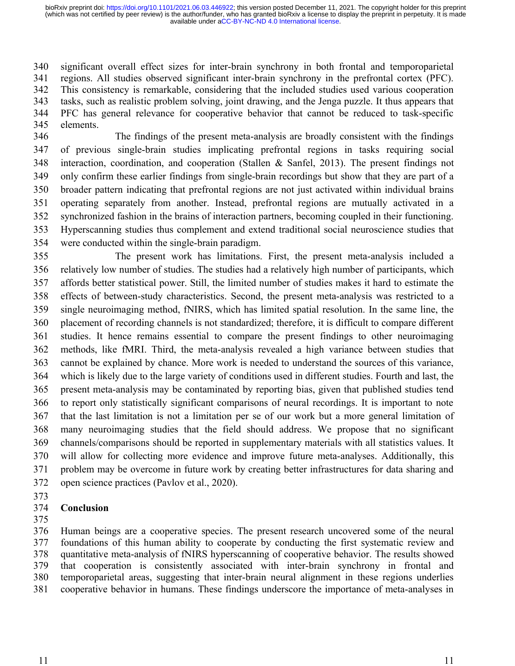significant overall effect sizes for inter-brain synchrony in both frontal and temporoparietal regions. All studies observed significant inter-brain synchrony in the prefrontal cortex (PFC). This consistency is remarkable, considering that the included studies used various cooperation tasks, such as realistic problem solving, joint drawing, and the Jenga puzzle. It thus appears that PFC has general relevance for cooperative behavior that cannot be reduced to task-specific elements. 340 341 342 343 344 345

The findings of the present meta-analysis are broadly consistent with the findings of previous single-brain studies implicating prefrontal regions in tasks requiring social interaction, coordination, and cooperation (Stallen & Sanfel, 2013). The present findings not only confirm these earlier findings from single-brain recordings but show that they are part of a broader pattern indicating that prefrontal regions are not just activated within individual brains operating separately from another. Instead, prefrontal regions are mutually activated in a synchronized fashion in the brains of interaction partners, becoming coupled in their functioning. Hyperscanning studies thus complement and extend traditional social neuroscience studies that were conducted within the single-brain paradigm. 346 347 348 349 350 351 352 353 354

The present work has limitations. First, the present meta-analysis included a relatively low number of studies. The studies had a relatively high number of participants, which affords better statistical power. Still, the limited number of studies makes it hard to estimate the effects of between-study characteristics. Second, the present meta-analysis was restricted to a single neuroimaging method, fNIRS, which has limited spatial resolution. In the same line, the placement of recording channels is not standardized; therefore, it is difficult to compare different studies. It hence remains essential to compare the present findings to other neuroimaging methods, like fMRI. Third, the meta-analysis revealed a high variance between studies that cannot be explained by chance. More work is needed to understand the sources of this variance, which is likely due to the large variety of conditions used in different studies. Fourth and last, the present meta-analysis may be contaminated by reporting bias, given that published studies tend to report only statistically significant comparisons of neural recordings. It is important to note that the last limitation is not a limitation per se of our work but a more general limitation of many neuroimaging studies that the field should address. We propose that no significant channels/comparisons should be reported in supplementary materials with all statistics values. It will allow for collecting more evidence and improve future meta-analyses. Additionally, this problem may be overcome in future work by creating better infrastructures for data sharing and open science practices (Pavlov et al., 2020). 355 356 357 358 359 360 361 362 363 364 365 366 367 368 369 370 371 372

373

### **Conclusion** 374

375

Human beings are a cooperative species. The present research uncovered some of the neural foundations of this human ability to cooperate by conducting the first systematic review and quantitative meta-analysis of fNIRS hyperscanning of cooperative behavior. The results showed that cooperation is consistently associated with inter-brain synchrony in frontal and temporoparietal areas, suggesting that inter-brain neural alignment in these regions underlies cooperative behavior in humans. These findings underscore the importance of meta-analyses in 376 377 378 379 380 381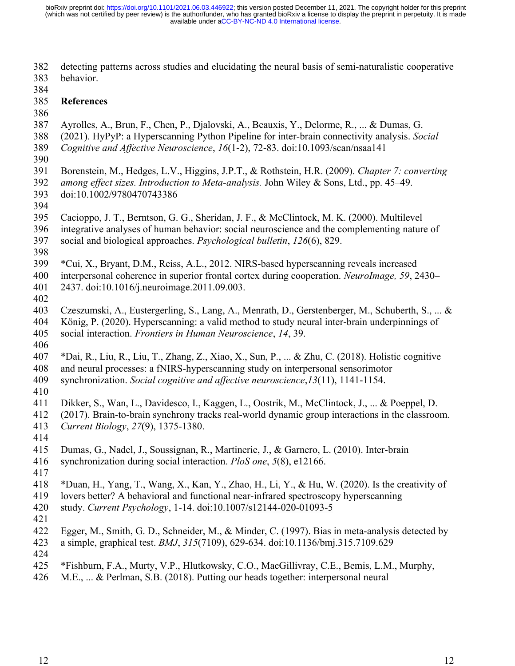detecting patterns across studies and elucidating the neural basis of semi-naturalistic cooperative behavior. 382 383

384

### **References** 385

386

- Ayrolles, A., Brun, F., Chen, P., Djalovski, A., Beauxis, Y., Delorme, R., ... & Dumas, G. 387
- (2021). HyPyP: a Hyperscanning Python Pipeline for inter-brain connectivity analysis. *Social*  388
- *Cognitive and Affective Neuroscience*, *16*(1-2), 72-83. doi:10.1093/scan/nsaa141 389
- 390
- Borenstein, M., Hedges, L.V., Higgins, J.P.T., & Rothstein, H.R. (2009). *Chapter 7: converting*  391
- *among effect sizes. Introduction to Meta-analysis.* John Wiley & Sons, Ltd., pp. 45–49. doi:10.1002/9780470743386 392 393
- 394
- Cacioppo, J. T., Berntson, G. G., Sheridan, J. F., & McClintock, M. K. (2000). Multilevel 395
- integrative analyses of human behavior: social neuroscience and the complementing nature of 396
- social and biological approaches. *Psychological bulletin*, *126*(6), 829. 397
- 398
- \*Cui, X., Bryant, D.M., Reiss, A.L., 2012. NIRS-based hyperscanning reveals increased 399
- interpersonal coherence in superior frontal cortex during cooperation. *NeuroImage, 59*, 2430– 400
- 2437. doi:10.1016/j.neuroimage.2011.09.003. 401
- 402
- Czeszumski, A., Eustergerling, S., Lang, A., Menrath, D., Gerstenberger, M., Schuberth, S., ... & König, P. (2020). Hyperscanning: a valid method to study neural inter-brain underpinnings of 403 404
- social interaction. *Frontiers in Human Neuroscience*, *14*, 39. 405 406
- \*Dai, R., Liu, R., Liu, T., Zhang, Z., Xiao, X., Sun, P., ... & Zhu, C. (2018). Holistic cognitive 407
- and neural processes: a fNIRS-hyperscanning study on interpersonal sensorimotor 408
- synchronization. *Social cognitive and affective neuroscience*,*13*(11), 1141-1154. 409
- 410
- Dikker, S., Wan, L., Davidesco, I., Kaggen, L., Oostrik, M., McClintock, J., ... & Poeppel, D. 411
- (2017). Brain-to-brain synchrony tracks real-world dynamic group interactions in the classroom. *Current Biology*, *27*(9), 1375-1380. 412 413
- 414
- Dumas, G., Nadel, J., Soussignan, R., Martinerie, J., & Garnero, L. (2010). Inter-brain 415
- synchronization during social interaction. *PloS one*, *5*(8), e12166. 416
- 417
- \*Duan, H., Yang, T., Wang, X., Kan, Y., Zhao, H., Li, Y., & Hu, W. (2020). Is the creativity of 418
- lovers better? A behavioral and functional near-infrared spectroscopy hyperscanning 419
- study. *Current Psychology*, 1-14. doi:10.1007/s12144-020-01093-5 420
- 421
- Egger, M., Smith, G. D., Schneider, M., & Minder, C. (1997). Bias in meta-analysis detected by a simple, graphical test. *BMJ*, *315*(7109), 629-634. doi:10.1136/bmj.315.7109.629 422 423

- \*Fishburn, F.A., Murty, V.P., Hlutkowsky, C.O., MacGillivray, C.E., Bemis, L.M., Murphy, 425
- M.E., ... & Perlman, S.B. (2018). Putting our heads together: interpersonal neural 426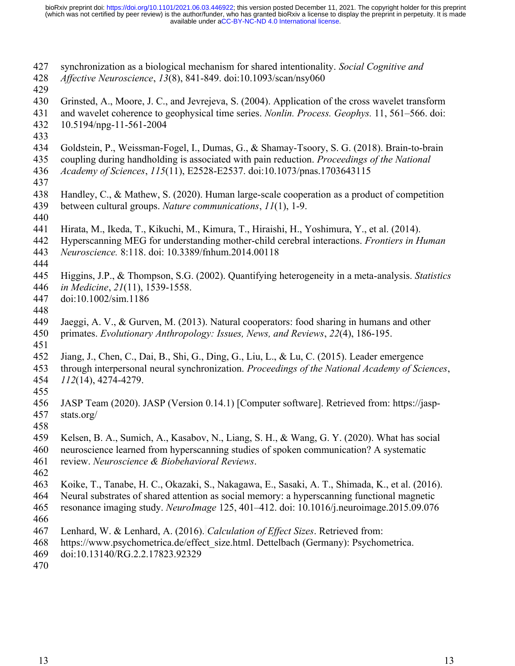- synchronization as a biological mechanism for shared intentionality. *Social Cognitive and*  427
- *Affective Neuroscience*, *13*(8), 841-849. doi:10.1093/scan/nsy060 428
- 429
- Grinsted, A., Moore, J. C., and Jevrejeva, S. (2004). Application of the cross wavelet transform 430
- and wavelet coherence to geophysical time series. *Nonlin. Process. Geophys.* 11, 561–566. doi: 431
- 10.5194/npg-11-561-2004 432
- 433
- Goldstein, P., Weissman-Fogel, I., Dumas, G., & Shamay-Tsoory, S. G. (2018). Brain-to-brain 434
- coupling during handholding is associated with pain reduction. *Proceedings of the National*  435
- *Academy of Sciences*, *115*(11), E2528-E2537. doi:10.1073/pnas.1703643115 436
- 437
- Handley, C., & Mathew, S. (2020). Human large-scale cooperation as a product of competition 438
- between cultural groups. *Nature communications*, *11*(1), 1-9. 439
- 440
- Hirata, M., Ikeda, T., Kikuchi, M., Kimura, T., Hiraishi, H., Yoshimura, Y., et al. (2014). 441
- Hyperscanning MEG for understanding mother-child cerebral interactions. *Frontiers in Human*  442
- *Neuroscience.* 8:118. doi: 10.3389/fnhum.2014.00118 443
- 444
- Higgins, J.P., & Thompson, S.G. (2002). Quantifying heterogeneity in a meta-analysis. *Statistics* 445
- *in Medicine*, *21*(11), 1539-1558. 446
- doi:10.1002/sim.1186 447
- 448
- Jaeggi, A. V., & Gurven, M. (2013). Natural cooperators: food sharing in humans and other 449
- primates. *Evolutionary Anthropology: Issues, News, and Reviews*, *22*(4), 186-195. 450
- 451
- Jiang, J., Chen, C., Dai, B., Shi, G., Ding, G., Liu, L., & Lu, C. (2015). Leader emergence 452
- through interpersonal neural synchronization. *Proceedings of the National Academy of Sciences*, *112*(14), 4274-4279. 453 454
- 455
- JASP Team (2020). JASP (Version 0.14.1) [Computer software]. Retrieved from: https://jaspstats.org/ 456 457
- 458
- Kelsen, B. A., Sumich, A., Kasabov, N., Liang, S. H., & Wang, G. Y. (2020). What has social 459
- neuroscience learned from hyperscanning studies of spoken communication? A systematic 460
- review. *Neuroscience & Biobehavioral Reviews*. 461
- 462
- Koike, T., Tanabe, H. C., Okazaki, S., Nakagawa, E., Sasaki, A. T., Shimada, K., et al. (2016). 463
- Neural substrates of shared attention as social memory: a hyperscanning functional magnetic 464
- resonance imaging study. *NeuroImage* 125, 401–412. doi: 10.1016/j.neuroimage.2015.09.076 465
- 466
- Lenhard, W. & Lenhard, A. (2016). *Calculation of Effect Sizes*. Retrieved from: 467
- https://www.psychometrica.de/effect\_size.html. Dettelbach (Germany): Psychometrica. 468
- doi:10.13140/RG.2.2.17823.92329 469
- 470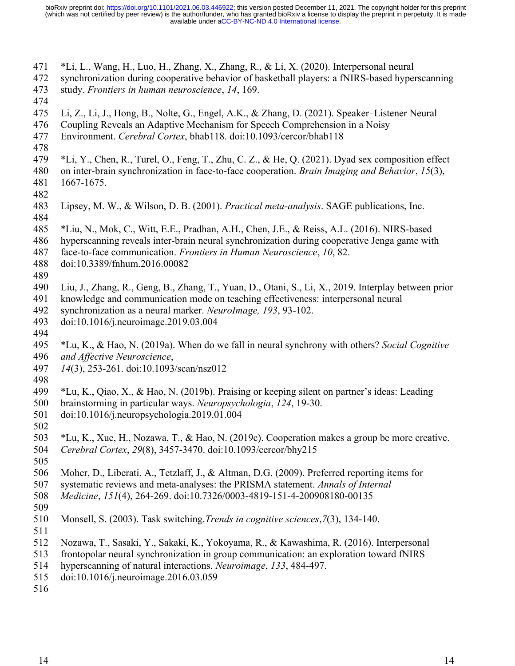- \*Li, L., Wang, H., Luo, H., Zhang, X., Zhang, R., & Li, X. (2020). Interpersonal neural 471
- synchronization during cooperative behavior of basketball players: a fNIRS-based hyperscanning study. *Frontiers in human neuroscience*, *14*, 169. 472 473
- 474
- Li, Z., Li, J., Hong, B., Nolte, G., Engel, A.K., & Zhang, D. (2021). Speaker–Listener Neural 475
- Coupling Reveals an Adaptive Mechanism for Speech Comprehension in a Noisy 476
- Environment. *Cerebral Cortex*, bhab118. doi:10.1093/cercor/bhab118 477
- 478
- \*Li, Y., Chen, R., Turel, O., Feng, T., Zhu, C. Z., & He, Q. (2021). Dyad sex composition effect 479
- on inter-brain synchronization in face-to-face cooperation. *Brain Imaging and Behavior*, *15*(3), 1667-1675. 480 481
- 482
- Lipsey, M. W., & Wilson, D. B. (2001). *Practical meta-analysis*. SAGE publications, Inc. 483 484
- \*Liu, N., Mok, C., Witt, E.E., Pradhan, A.H., Chen, J.E., & Reiss, A.L. (2016). NIRS-based 485
- hyperscanning reveals inter-brain neural synchronization during cooperative Jenga game with 486
- face-to-face communication. *Frontiers in Human Neuroscience*, *10*, 82. 487
- doi:10.3389/fnhum.2016.00082 488
- 489

Liu, J., Zhang, R., Geng, B., Zhang, T., Yuan, D., Otani, S., Li, X., 2019. Interplay between prior 490

- knowledge and communication mode on teaching effectiveness: interpersonal neural 491
- synchronization as a neural marker. *NeuroImage, 193*, 93-102. 492
- doi:10.1016/j.neuroimage.2019.03.004 493
- 494
- \*Lu, K., & Hao, N. (2019a). When do we fall in neural synchrony with others? *Social Cognitive and Affective Neuroscience*, 495 496
- *14*(3), 253-261. doi:10.1093/scan/nsz012 497
- 498
- \*Lu, K., Qiao, X., & Hao, N. (2019b). Praising or keeping silent on partner's ideas: Leading 499
- brainstorming in particular ways. *Neuropsychologia*, *124*, 19-30. 500
- doi:10.1016/j.neuropsychologia.2019.01.004 501
- \*Lu, K., Xue, H., Nozawa, T., & Hao, N. (2019c). Cooperation makes a group be more creative. 502 503
- *Cerebral Cortex*, *29*(8), 3457-3470. doi:10.1093/cercor/bhy215 504
- 505
- Moher, D., Liberati, A., Tetzlaff, J., & Altman, D.G. (2009). Preferred reporting items for 506
- systematic reviews and meta-analyses: the PRISMA statement. *Annals of Internal*  507
- *Medicine*, *151*(4), 264-269. doi:10.7326/0003-4819-151-4-200908180-00135 508
- 509
- Monsell, S. (2003). Task switching.*Trends in cognitive sciences*,*7*(3), 134-140. 510
- 511
- Nozawa, T., Sasaki, Y., Sakaki, K., Yokoyama, R., & Kawashima, R. (2016). Interpersonal 512
- frontopolar neural synchronization in group communication: an exploration toward fNIRS 513
- hyperscanning of natural interactions. *Neuroimage*, *133*, 484-497. 514
- doi:10.1016/j.neuroimage.2016.03.059 515
- 516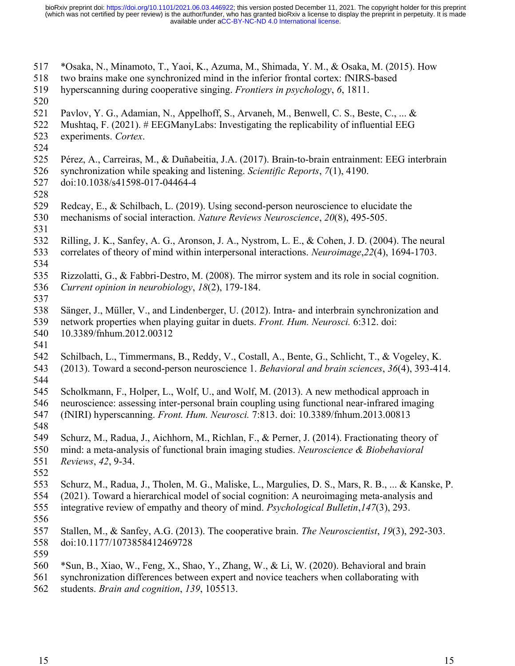- \*Osaka, N., Minamoto, T., Yaoi, K., Azuma, M., Shimada, Y. M., & Osaka, M. (2015). How 517
- two brains make one synchronized mind in the inferior frontal cortex: fNIRS-based 518
- hyperscanning during cooperative singing. *Frontiers in psychology*, *6*, 1811. 519
- 520
- Pavlov, Y. G., Adamian, N., Appelhoff, S., Arvaneh, M., Benwell, C. S., Beste, C., ... & 521
- Mushtaq, F. (2021). # EEGManyLabs: Investigating the replicability of influential EEG experiments. *Cortex*. 522 523
- 524
- Pérez, A., Carreiras, M., & Duñabeitia, J.A. (2017). Brain-to-brain entrainment: EEG interbrain 525
- synchronization while speaking and listening. *Scientific Reports*, *7*(1), 4190. 526
- doi:10.1038/s41598-017-04464-4 527
- 528
- Redcay, E., & Schilbach, L. (2019). Using second-person neuroscience to elucidate the 529
- mechanisms of social interaction. *Nature Reviews Neuroscience*, *20*(8), 495-505. 530
- 531
- Rilling, J. K., Sanfey, A. G., Aronson, J. A., Nystrom, L. E., & Cohen, J. D. (2004). The neural correlates of theory of mind within interpersonal interactions. *Neuroimage*,*22*(4), 1694-1703. 532 533
- 534
- Rizzolatti, G., & Fabbri-Destro, M. (2008). The mirror system and its role in social cognition. *Current opinion in neurobiology*, *18*(2), 179-184. 535 536 537
- Sänger, J., Müller, V., and Lindenberger, U. (2012). Intra- and interbrain synchronization and network properties when playing guitar in duets. *Front. Hum. Neurosci.* 6:312. doi: 538 539
- 10.3389/fnhum.2012.00312 540
- 541
- Schilbach, L., Timmermans, B., Reddy, V., Costall, A., Bente, G., Schlicht, T., & Vogeley, K. (2013). Toward a second-person neuroscience 1. *Behavioral and brain sciences*, *36*(4), 393-414. 542 543
- 544

Scholkmann, F., Holper, L., Wolf, U., and Wolf, M. (2013). A new methodical approach in neuroscience: assessing inter-personal brain coupling using functional near-infrared imaging 545 546

- (fNIRI) hyperscanning. *Front. Hum. Neurosci.* 7:813. doi: 10.3389/fnhum.2013.00813 547
- 548
	- Schurz, M., Radua, J., Aichhorn, M., Richlan, F., & Perner, J. (2014). Fractionating theory of 549
	- mind: a meta-analysis of functional brain imaging studies. *Neuroscience & Biobehavioral*  550
	- *Reviews*, *42*, 9-34. 551
	- 552
	- Schurz, M., Radua, J., Tholen, M. G., Maliske, L., Margulies, D. S., Mars, R. B., ... & Kanske, P. 553
	- (2021). Toward a hierarchical model of social cognition: A neuroimaging meta-analysis and 554
- integrative review of empathy and theory of mind. *Psychological Bulletin*,*147*(3), 293. 555
- 556
- Stallen, M., & Sanfey, A.G. (2013). The cooperative brain. *The Neuroscientist*, *19*(3), 292-303. doi:10.1177/1073858412469728 557 558
- 559
- \*Sun, B., Xiao, W., Feng, X., Shao, Y., Zhang, W., & Li, W. (2020). Behavioral and brain 560
- synchronization differences between expert and novice teachers when collaborating with students. *Brain and cognition*, *139*, 105513. 561 562